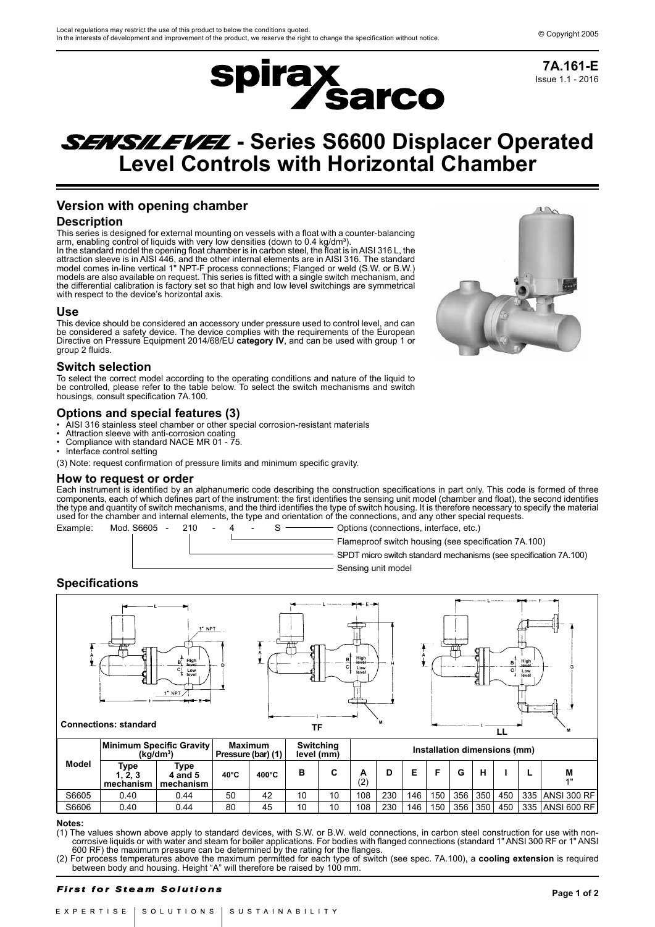Issue 1.1 - 2016 **7A.161-E**



# **SENSILEVEL** - Series S6600 Displacer Operated **Level Controls with Horizontal Chamber**

# **Version with opening chamber**

# **Description**

This series is designed for external mounting on vessels with a float with a counter-balancing arm, enabling control of liquids with very low densities (down to 0.4 kg/dm<sup>3</sup>). In the standard model the opening float chamber is in carbon steel, the float is in AISI 316 L, the attraction sleeve is in AISI 446, and the other internal elements are in AISI 316. The standard model comes in-line vertical 1" NPT-F process connections; Flanged or weld (S.W. or B.W.) models are also available on request. This series is fitted with a single switch mechanism, and the differential calibration is factory set so that high and low level switchings are symmetrical with respect to the device's horizontal axis.

# **Use**

This device should be considered an accessory under pressure used to control level, and can be considered a safety device. The device complies with the requirements of the European Directive on Pressure Equipment 2014/68/EU **category IV**, and can be used with group 1 or group 2 fluids.

# **Switch selection**

To select the correct model according to the operating conditions and nature of the liquid to be controlled, please refer to the table below. To select the switch mechanisms and switch housings, consult specification 7A.100.

# **Options and special features (3)**

- AISI 316 stainless steel chamber or other special corrosion-resistant materials
- Attraction sleeve with anti-corrosion coating
- Compliance with standard NACE MR 01 75.
- Interface control setting

(3) Note: request confirmation of pressure limits and minimum specific gravity.

### **How to request or order**

Each instrument is identified by an alphanumeric code describing the construction specifications in part only. This code is formed of three components, each of which defines part of the instrument: the first identifies the sensing unit model (chamber and float), the second identifies the type and quantity of switch mechanisms, and the third identifies the type of switch housing. It is therefore necessary to specify the material used for the chamber and internal elements, the type and orientation of the connections, and any other special requests.



Flameproof switch housing (see specification 7A.100)

SPDT micro switch standard mechanisms (see specification 7A.100) Sensing unit model

# **Specifications**



| Model | Minimum Specific Gravity<br>(ka/dm <sup>3</sup> ) |                              | Maximum<br>Pressure (bar) (1) |                 | Switching<br>level (mm) |    | Installation dimensions (mm) |     |     |     |     |     |     |     |                  |
|-------|---------------------------------------------------|------------------------------|-------------------------------|-----------------|-------------------------|----|------------------------------|-----|-----|-----|-----|-----|-----|-----|------------------|
|       | Type<br>., 2, 3<br>mechanism                      | Туре<br>4 and 5<br>mechanism | $40^{\circ}$ C                | $400^{\circ}$ C | в                       | C  | А<br>(2)                     | D   |     |     |     |     |     |     | M<br>4H          |
| S6605 | 0.40                                              | 0.44                         | 50                            | 42              | 10                      | 10 | 108                          | 230 | 146 | 150 | 356 | 350 | 450 |     | 335 ANSI 300 RF  |
| S6606 | 0.40                                              | 0.44                         | 80                            | 45              | 10                      | 10 | 108                          | 230 | 146 | 150 | 356 | 350 | 450 | 335 | i ∣ANSI 600 RF I |

#### **Notes:**

(1) The values shown above apply to standard devices, with S.W. or B.W. weld connections, in carbon steel construction for use with noncorrosive liquids or with water and steam for boiler applications. For bodies with flanged connections (standard 1" ANSI 300 RF or 1" ANSI 600 RF) the maximum pressure can be determined by the rating for the flanges.

(2) For process temperatures above the maximum permitted for each type of switch (see spec. 7A.100), a **cooling extension** is required between body and housing. Height "A" will therefore be raised by 100 mm.

#### **First for Steam Solutions**